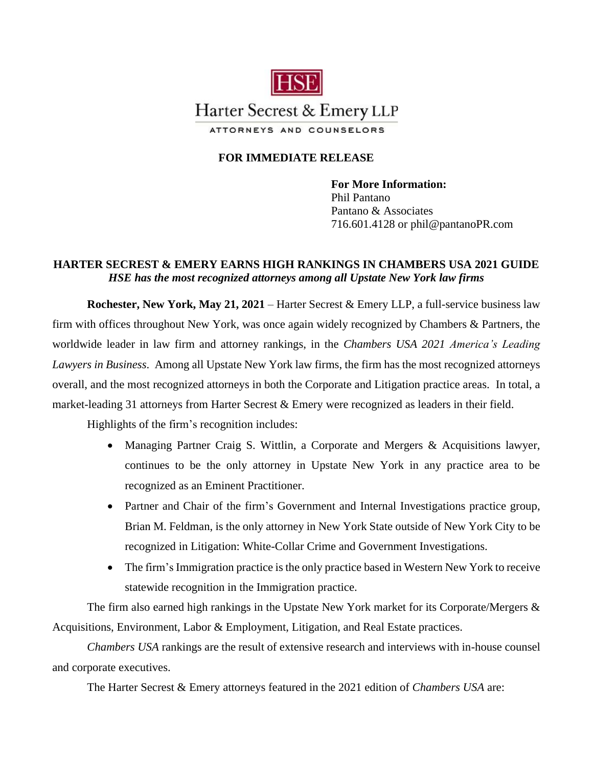

## **FOR IMMEDIATE RELEASE**

**For More Information:** Phil Pantano Pantano & Associates 716.601.4128 or phil@pantanoPR.com

## **HARTER SECREST & EMERY EARNS HIGH RANKINGS IN CHAMBERS USA 2021 GUIDE** *HSE has the most recognized attorneys among all Upstate New York law firms*

**Rochester, New York, May 21, 2021** – Harter Secrest & Emery LLP, a full-service business law firm with offices throughout New York, was once again widely recognized by Chambers & Partners, the worldwide leader in law firm and attorney rankings, in the *Chambers USA 2021 America's Leading Lawyers in Business*. Among all Upstate New York law firms, the firm has the most recognized attorneys overall, and the most recognized attorneys in both the Corporate and Litigation practice areas. In total, a market-leading 31 attorneys from Harter Secrest & Emery were recognized as leaders in their field.

Highlights of the firm's recognition includes:

- Managing Partner Craig S. Wittlin, a Corporate and Mergers & Acquisitions lawyer, continues to be the only attorney in Upstate New York in any practice area to be recognized as an Eminent Practitioner.
- Partner and Chair of the firm's Government and Internal Investigations practice group, Brian M. Feldman, is the only attorney in New York State outside of New York City to be recognized in Litigation: White-Collar Crime and Government Investigations.
- The firm's Immigration practice is the only practice based in Western New York to receive statewide recognition in the Immigration practice.

The firm also earned high rankings in the Upstate New York market for its Corporate/Mergers  $\&$ Acquisitions, Environment, Labor & Employment, Litigation, and Real Estate practices.

*Chambers USA* rankings are the result of extensive research and interviews with in-house counsel and corporate executives.

The Harter Secrest & Emery attorneys featured in the 2021 edition of *Chambers USA* are: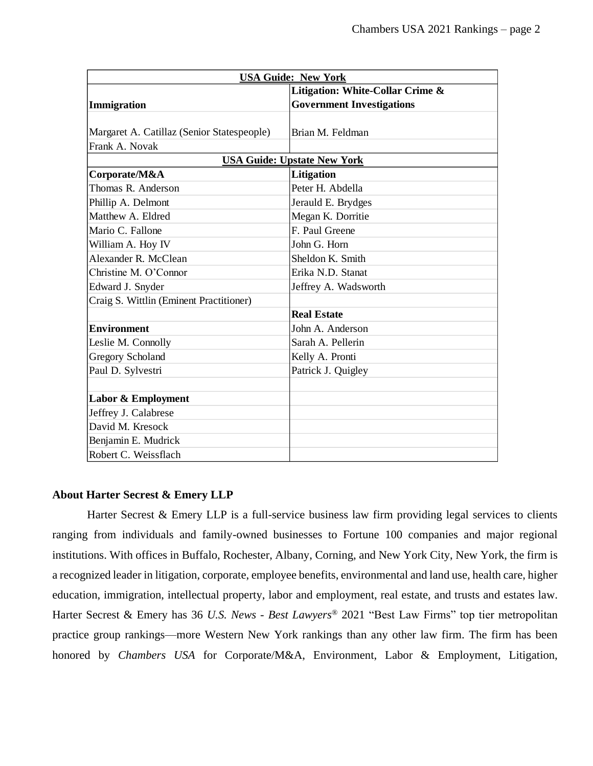| <b>USA Guide: New York</b>                 |                                  |
|--------------------------------------------|----------------------------------|
|                                            | Litigation: White-Collar Crime & |
| Immigration                                | <b>Government Investigations</b> |
|                                            |                                  |
| Margaret A. Catillaz (Senior Statespeople) | Brian M. Feldman                 |
| Frank A. Novak                             |                                  |
| <b>USA Guide: Upstate New York</b>         |                                  |
| Corporate/M&A                              | <b>Litigation</b>                |
| Thomas R. Anderson                         | Peter H. Abdella                 |
| Phillip A. Delmont                         | Jerauld E. Brydges               |
| Matthew A. Eldred                          | Megan K. Dorritie                |
| Mario C. Fallone                           | F. Paul Greene                   |
| William A. Hoy IV                          | John G. Horn                     |
| Alexander R. McClean                       | Sheldon K. Smith                 |
| Christine M. O'Connor                      | Erika N.D. Stanat                |
| Edward J. Snyder                           | Jeffrey A. Wadsworth             |
| Craig S. Wittlin (Eminent Practitioner)    |                                  |
|                                            | <b>Real Estate</b>               |
| <b>Environment</b>                         | John A. Anderson                 |
| Leslie M. Connolly                         | Sarah A. Pellerin                |
| Gregory Scholand                           | Kelly A. Pronti                  |
| Paul D. Sylvestri                          | Patrick J. Quigley               |
|                                            |                                  |
| <b>Labor &amp; Employment</b>              |                                  |
| Jeffrey J. Calabrese                       |                                  |
| David M. Kresock                           |                                  |
| Benjamin E. Mudrick                        |                                  |
| Robert C. Weissflach                       |                                  |

## **About Harter Secrest & Emery LLP**

Harter Secrest  $\&$  Emery LLP is a full-service business law firm providing legal services to clients ranging from individuals and family-owned businesses to Fortune 100 companies and major regional institutions. With offices in Buffalo, Rochester, Albany, Corning, and New York City, New York, the firm is a recognized leader in litigation, corporate, employee benefits, environmental and land use, health care, higher education, immigration, intellectual property, labor and employment, real estate, and trusts and estates law. Harter Secrest & Emery has 36 *U.S. News - Best Lawyers®* 2021 "Best Law Firms" top tier metropolitan practice group rankings—more Western New York rankings than any other law firm. The firm has been honored by *Chambers USA* for Corporate/M&A, Environment, Labor & Employment, Litigation,